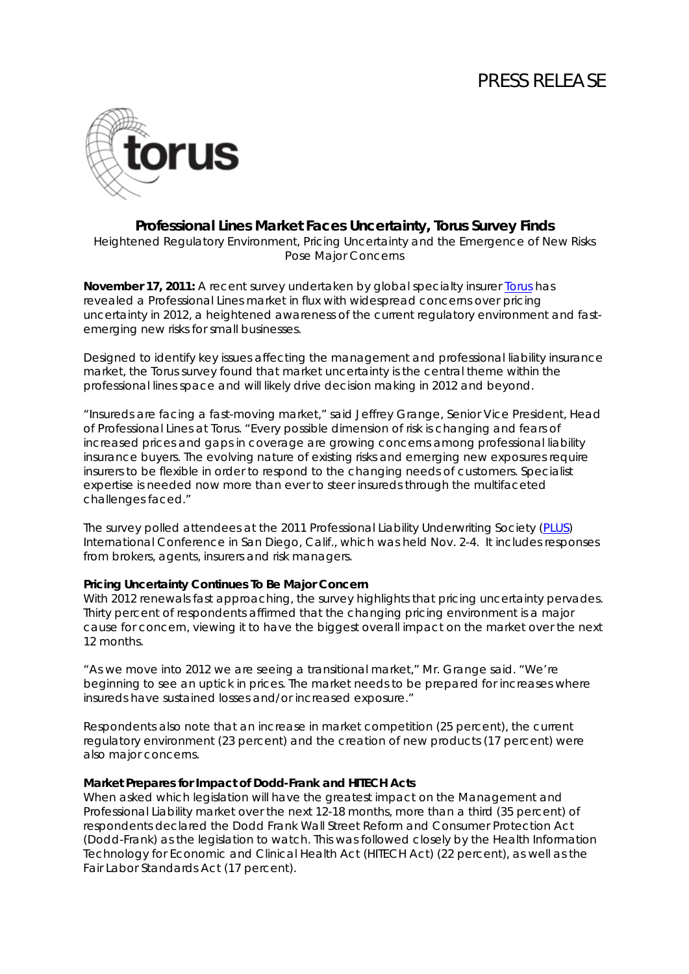# PRESS RELEASE



### **Professional Lines Market Faces Uncertainty, Torus Survey Finds**

*Heightened Regulatory Environment, Pricing Uncertainty and the Emergence of New Risks Pose Major Concerns*

**November 17, 2011:** A recent survey undertaken by global specialty insurer **Torus** has revealed a Professional Lines market in flux with widespread concerns over pricing uncertainty in 2012, a heightened awareness of the current regulatory environment and fastemerging new risks for small businesses.

Designed to identify key issues affecting the management and professional liability insurance market, the Torus survey found that market uncertainty is the central theme within the professional lines space and will likely drive decision making in 2012 and beyond.

"Insureds are facing a fast-moving market," said Jeffrey Grange, Senior Vice President, Head of Professional Lines at Torus. "Every possible dimension of risk is changing and fears of increased prices and gaps in coverage are growing concerns among professional liability insurance buyers. The evolving nature of existing risks and emerging new exposures require insurers to be flexible in order to respond to the changing needs of customers. Specialist expertise is needed now more than ever to steer insureds through the multifaceted challenges faced."

The survey polled attendees at the 2011 Professional Liability Underwriting Society [\(PLUS\)](http://www.plusweb.org/) International Conference in San Diego, Calif., which was held Nov. 2-4. It includes responses from brokers, agents, insurers and risk managers.

### **Pricing Uncertainty Continues To Be Major Concern**

With 2012 renewals fast approaching, the survey highlights that pricing uncertainty pervades. Thirty percent of respondents affirmed that the changing pricing environment is a major cause for concern, viewing it to have the biggest overall impact on the market over the next 12 months.

"As we move into 2012 we are seeing a transitional market," Mr. Grange said. "We're beginning to see an uptick in prices. The market needs to be prepared for increases where insureds have sustained losses and/or increased exposure."

Respondents also note that an increase in market competition (25 percent), the current regulatory environment (23 percent) and the creation of new products (17 percent) were also major concerns.

#### **Market Prepares for Impact of Dodd-Frank and HITECH Acts**

When asked which legislation will have the greatest impact on the Management and Professional Liability market over the next 12-18 months, more than a third (35 percent) of respondents declared the Dodd Frank Wall Street Reform and Consumer Protection Act (Dodd-Frank) as the legislation to watch. This was followed closely by the Health Information Technology for Economic and Clinical Health Act (HITECH Act) (22 percent), as well as the Fair Labor Standards Act (17 percent).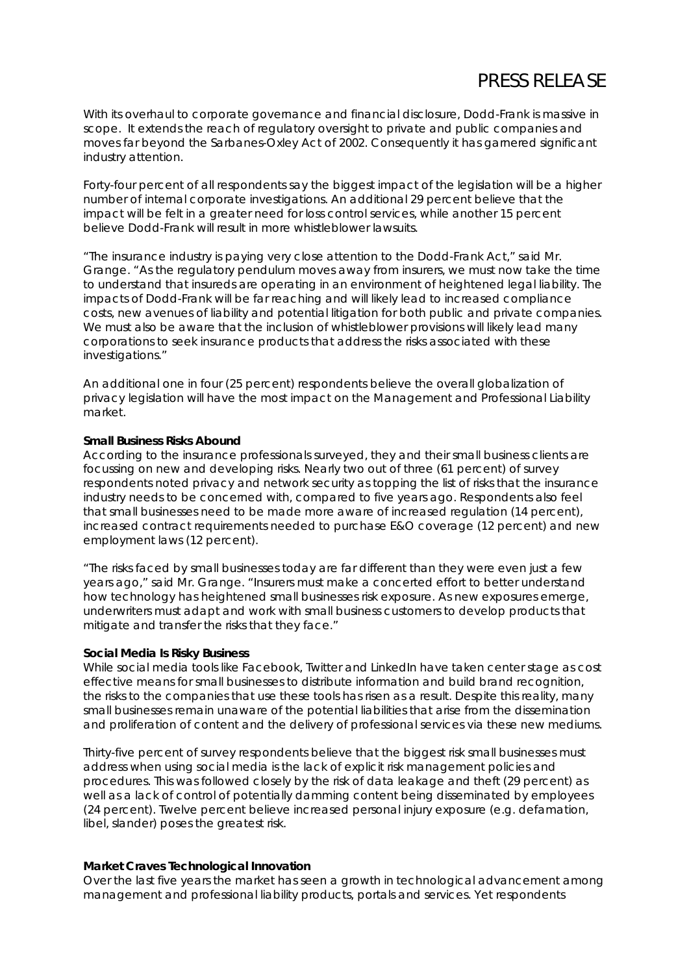# PRESS RELEASE

With its overhaul to corporate governance and financial disclosure, Dodd-Frank is massive in scope. It extends the reach of regulatory oversight to private and public companies and moves far beyond the Sarbanes-Oxley Act of 2002. Consequently it has garnered significant industry attention.

Forty-four percent of all respondents say the biggest impact of the legislation will be a higher number of internal corporate investigations. An additional 29 percent believe that the impact will be felt in a greater need for loss control services, while another 15 percent believe Dodd-Frank will result in more whistleblower lawsuits.

"The insurance industry is paying very close attention to the Dodd-Frank Act," said Mr. Grange. "As the regulatory pendulum moves away from insurers, we must now take the time to understand that insureds are operating in an environment of heightened legal liability. The impacts of Dodd-Frank will be far reaching and will likely lead to increased compliance costs, new avenues of liability and potential litigation for both public and private companies. We must also be aware that the inclusion of whistleblower provisions will likely lead many corporations to seek insurance products that address the risks associated with these investigations."

An additional one in four (25 percent) respondents believe the overall globalization of privacy legislation will have the most impact on the Management and Professional Liability market.

#### **Small Business Risks Abound**

According to the insurance professionals surveyed, they and their small business clients are focussing on new and developing risks. Nearly two out of three (61 percent) of survey respondents noted privacy and network security as topping the list of risks that the insurance industry needs to be concerned with, compared to five years ago. Respondents also feel that small businesses need to be made more aware of increased regulation (14 percent), increased contract requirements needed to purchase E&O coverage (12 percent) and new employment laws (12 percent).

"The risks faced by small businesses today are far different than they were even just a few years ago," said Mr. Grange. "Insurers must make a concerted effort to better understand how technology has heightened small businesses risk exposure. As new exposures emerge, underwriters must adapt and work with small business customers to develop products that mitigate and transfer the risks that they face."

#### **Social Media Is Risky Business**

While social media tools like Facebook, Twitter and LinkedIn have taken center stage as cost effective means for small businesses to distribute information and build brand recognition, the risks to the companies that use these tools has risen as a result. Despite this reality, many small businesses remain unaware of the potential liabilities that arise from the dissemination and proliferation of content and the delivery of professional services via these new mediums.

Thirty-five percent of survey respondents believe that the biggest risk small businesses must address when using social media is the lack of explicit risk management policies and procedures. This was followed closely by the risk of data leakage and theft (29 percent) as well as a lack of control of potentially damming content being disseminated by employees (24 percent). Twelve percent believe increased personal injury exposure (e.g. defamation, libel, slander) poses the greatest risk.

### **Market Craves Technological Innovation**

Over the last five years the market has seen a growth in technological advancement among management and professional liability products, portals and services. Yet respondents